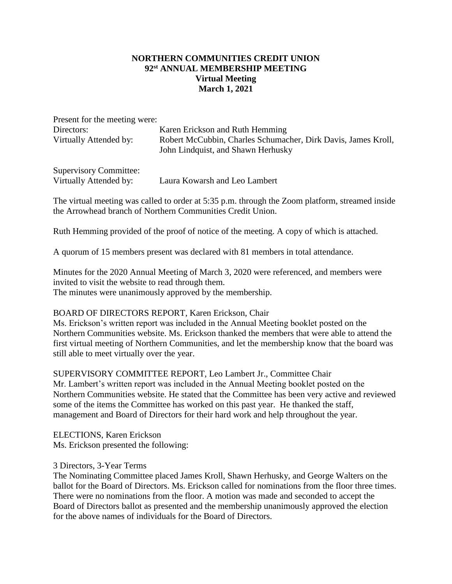## **NORTHERN COMMUNITIES CREDIT UNION 92st ANNUAL MEMBERSHIP MEETING Virtual Meeting March 1, 2021**

| Present for the meeting were: |                                                                                                     |
|-------------------------------|-----------------------------------------------------------------------------------------------------|
| Directors:                    | Karen Erickson and Ruth Hemming                                                                     |
| Virtually Attended by:        | Robert McCubbin, Charles Schumacher, Dirk Davis, James Kroll,<br>John Lindquist, and Shawn Herhusky |

Supervisory Committee: Virtually Attended by: Laura Kowarsh and Leo Lambert

The virtual meeting was called to order at 5:35 p.m. through the Zoom platform, streamed inside the Arrowhead branch of Northern Communities Credit Union.

Ruth Hemming provided of the proof of notice of the meeting. A copy of which is attached.

A quorum of 15 members present was declared with 81 members in total attendance.

Minutes for the 2020 Annual Meeting of March 3, 2020 were referenced, and members were invited to visit the website to read through them. The minutes were unanimously approved by the membership.

## BOARD OF DIRECTORS REPORT, Karen Erickson, Chair

Ms. Erickson's written report was included in the Annual Meeting booklet posted on the Northern Communities website. Ms. Erickson thanked the members that were able to attend the first virtual meeting of Northern Communities, and let the membership know that the board was still able to meet virtually over the year.

SUPERVISORY COMMITTEE REPORT, Leo Lambert Jr., Committee Chair Mr. Lambert's written report was included in the Annual Meeting booklet posted on the Northern Communities website. He stated that the Committee has been very active and reviewed some of the items the Committee has worked on this past year. He thanked the staff, management and Board of Directors for their hard work and help throughout the year.

ELECTIONS, Karen Erickson Ms. Erickson presented the following:

## 3 Directors, 3-Year Terms

The Nominating Committee placed James Kroll, Shawn Herhusky, and George Walters on the ballot for the Board of Directors. Ms. Erickson called for nominations from the floor three times. There were no nominations from the floor. A motion was made and seconded to accept the Board of Directors ballot as presented and the membership unanimously approved the election for the above names of individuals for the Board of Directors.